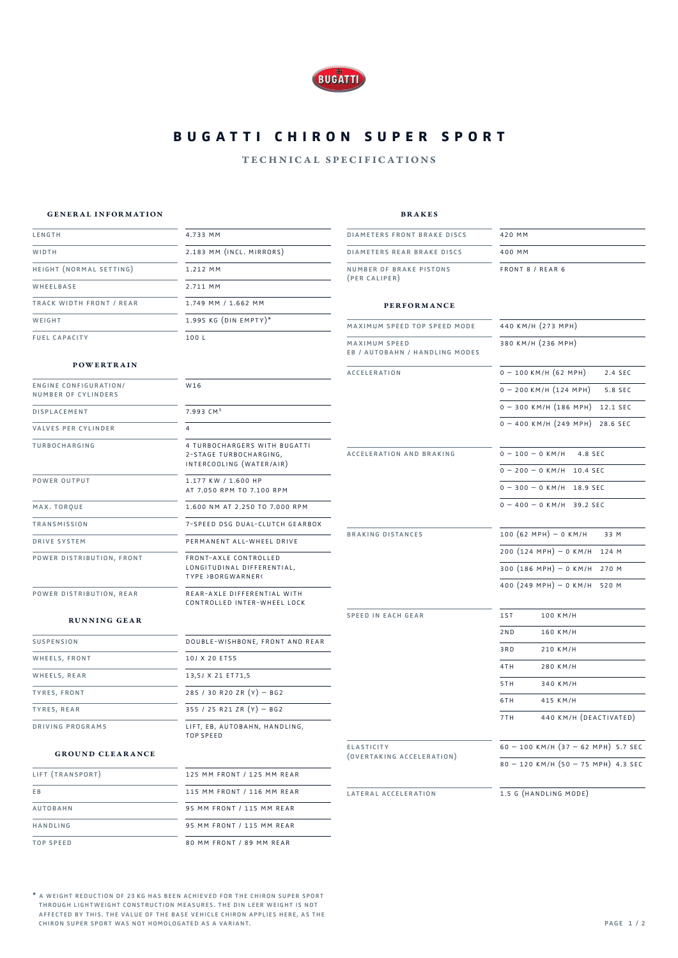

# **BUGATTI CHIRON SUPER SPORT**

### technical specifications

#### general information

height (normal setting)

track width front / rear

length WIDTH<sub></sub>

WHEELBASE

fuel capacity

**WEIGHT** 

brakes

diameters front brake discs

front 8 / rear 6

420 mm

### performance

| MAXIMUM SPEED TOP SPEED MODE                           | 440 KM/H (273 MPH)                      |
|--------------------------------------------------------|-----------------------------------------|
| <b>MAXIMUM SPEED</b><br>EB / AUTOBAHN / HANDLING MODES | 380 KM/H (236 MPH)                      |
| <b>ACCELERATION</b>                                    | $0 - 100$ KM/H $(62$ MPH)<br>2.4 SEC    |
|                                                        | $0 - 200$ KM/H $(124$ MPH)<br>5.8 SEC   |
|                                                        | $0 - 300$ KM/H (186 MPH)<br>12.1 SEC    |
|                                                        | $0 - 400$ KM/H $(249$ MPH)<br>28.6 SEC  |
| ACCELERATION AND BRAKING                               | $0 - 100 - 0$ KM/H 4.8 SEC              |
|                                                        | $0 - 200 - 0$ KM/H 10.4 SEC             |
|                                                        | $0 - 300 - 0$ KM/H<br>18.9 SEC          |
|                                                        | $0 - 400 - 0$ KM/H 39.2 SEC             |
| <b>BRAKING DISTANCES</b>                               | $100 (62 MPH) - 0 KM/H$<br>33 M         |
|                                                        | $200 (124 MPH) - 0 KM/H$<br>124 M       |
|                                                        | 300 $(186 MPH) - 0 KM/H$<br>270 M       |
|                                                        | 400 (249 MPH) - 0 KM/H<br>520 M         |
| <b>SPEED IN EACH GEAR</b>                              | 1ST<br>100 KM/H                         |
|                                                        | 2ND<br>160 KM/H                         |
|                                                        | 3RD<br>210 KM/H                         |
|                                                        | 4TH<br>280 KM/H                         |
|                                                        | 340 KM/H<br>5TH                         |
|                                                        | 6TH<br>415 KM/H                         |
|                                                        | 440 KM/H (DEACTIVATED)<br>7TH           |
| <b>ELASTICITY</b>                                      | $60 - 100$ KM/H $(37 - 62$ MPH) 5.7 SEC |
| (OVERTAKING ACCELERATION)                              | $80 - 120$ KM/H $(50 - 75$ MPH) 4.3 SEC |
| LATERAL ACCELERATION                                   | 1.5 G (HANDLING MODE)                   |

#### powertrain

| <b>ENGINE CONFIGURATION/</b><br>NUMBER OF CYLINDERS | W16                                                                                   |
|-----------------------------------------------------|---------------------------------------------------------------------------------------|
| <b>DISPLACEMENT</b>                                 | $7.993$ $CM3$                                                                         |
| <b>VALVES PER CYLINDER</b>                          | 4                                                                                     |
| <b>TURBOCHARGING</b>                                | 4 TURBOCHARGERS WITH BUGATTI<br>2-STAGE TURBOCHARGING,<br>INTERCOOLING (WATER/AIR)    |
| POWER OUTPUT                                        | 1.177 KW / 1.600 HP<br>AT 7.050 RPM TO 7.100 RPM                                      |
| MAX. TORQUE                                         | 1.600 NM AT 2.250 TO 7.000 RPM                                                        |
| <b>TRANSMISSION</b>                                 | 7-SPEED DSG DUAL-CLUTCH GEARBOX                                                       |
| <b>DRIVE SYSTEM</b>                                 | PERMANENT ALL-WHEEL DRIVE                                                             |
| POWER DISTRIBUTION, FRONT                           | FRONT-AXLE CONTROLLED<br>LONGITUDINAL DIFFERENTIAL,<br><b>TYPE &gt;BORGWARNER&lt;</b> |
| POWER DISTRIBUTION, REAR                            | REAR-AXLE DIFFERENTIAL WITH<br>CONTROLLED INTER-WHEEL LOCK                            |

4.733 mm

1.212 mm 2.711 mm

100 l

2.183 mm (incl. mirrors)

1.749 mm / 1.662 mm  $1.995$  KG (DIN EMPTY)\*

#### running gear

| <b>SUSPENSION</b> | DOUBLE-WISHBONE, FRONT AND REAR            |
|-------------------|--------------------------------------------|
| WHEELS, FRONT     | 10   X 20 FT55                             |
| WHEELS, REAR      | 13,5J X 21 ET71,5                          |
| TYRES, FRONT      | 285 / 30 R20 ZR $(Y)$ - BG2                |
| TYRES, REAR       | 355 / 25 R21 ZR $(Y)$ - BG2                |
| DRIVING PROGRAMS  | LIFT, EB, AUTOBAHN, HANDLING,<br>TOP SPEED |

#### ground clearance

| LIFT (TRANSPORT) | 125 MM FRONT / 125 MM REAR |
|------------------|----------------------------|
| E <sub>B</sub>   | 115 MM FRONT / 116 MM REAR |
| <b>AUTOBAHN</b>  | 95 MM FRONT / 115 MM REAR  |
| HANDLING         | 95 MM FRONT / 115 MM REAR  |
| <b>TOP SPEED</b> | 80 MM FRONT / 89 MM REAR   |

\* a weight reduction of 23 kg has been achieved for the chiron super sport through lightweight construction measures. the din leer weight is not affected by this. the value of the base vehicle chiron applies here, as the chiron super sport was not homologated as a variant.